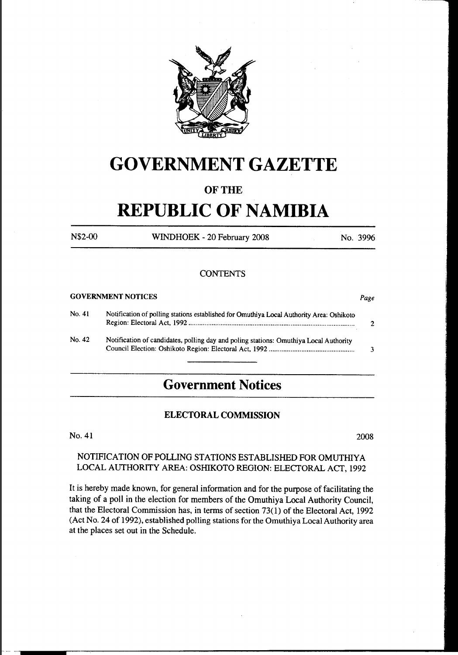

# **GOVERNMENT GAZETTE**

### **OF THE**

# **REPUBLIC OF NAMIBIA**

N\$2-00 WINDHOEK - 20 February 2008 No. 3996

#### **CONTENTS**

|        | <b>GOVERNMENT NOTICES</b>                                                                |   |
|--------|------------------------------------------------------------------------------------------|---|
| No. 41 | Notification of polling stations established for Omuthiya Local Authority Area: Oshikoto | າ |
| No. 42 | Notification of candidates, polling day and poling stations: Omuthiya Local Authority    | 3 |

## **Government Notices**

#### ELECTORAL COMMISSION

No. 41 2008

### NOTIFICATION OF POLLING STATIONS ESTABLISHED FOR OMUTHIY A LOCAL AUTHORITY AREA: OSHIKOTO REGION: ELECTORAL ACT, 1992

It is hereby made known, for general information and for the purpose of facilitating the taking of a poll in the election for members of the Omuthiya Local Authority Council, that the Electoral Commission has, in terms of section 73( 1) of the Electoral Act, 1992 (Act No. 24 of 1992), established polling stations for the Omuthiya Local Authority area at the places set out in the Schedule.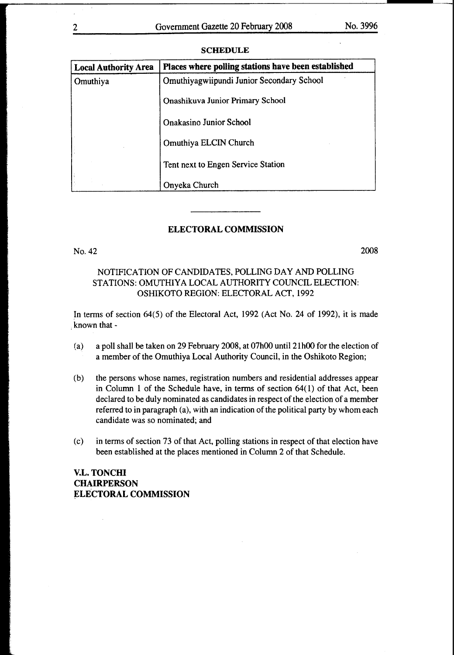| <b>Local Authority Area</b> | Places where polling stations have been established |  |  |
|-----------------------------|-----------------------------------------------------|--|--|
| Omuthiya                    | Omuthiyagwiipundi Junior Secondary School           |  |  |
|                             | <b>Onashikuva Junior Primary School</b>             |  |  |
|                             | <b>Onakasino Junior School</b>                      |  |  |
|                             | Omuthiya ELCIN Church                               |  |  |
|                             | Tent next to Engen Service Station                  |  |  |
|                             | Onyeka Church                                       |  |  |

#### **SCHEDULE**

#### ELECTORAL COMMISSION

No.42

2008

#### NOTIFICATION OF CANDIDATES, POLLING DAY AND POLLING STATIONS: OMUTHIYA LOCAL AUTHORITY COUNCIL ELECTION: OSHIKOTO REGION: ELECTORAL ACT, 1992

In terms of section 64(5) of the Electoral Act, 1992 (Act No. 24 of 1992), it is made known that-

- (a) a poll shall be taken on 29 February 2008, at 07h00 until2lh00 for the election of a member of the Omuthiya Local Authority Council, in the Oshikoto Region;
- (b) the persons whose names, registration numbers and residential addresses appear in Column 1 of the Schedule have, in terms of section 64(1) of that Act, been declared to be duly nominated as candidates in respect of the election of a member referred to in paragraph (a), with an indication of the political party by whom each candidate was so nominated; and
- (c) in terms of section 73 of that Act, polling stations in respect of that election have been established at the places mentioned in Column 2 of that Schedule.

V.L. TONCHI **CHAIRPERSON** ELECTORAL COMMISSION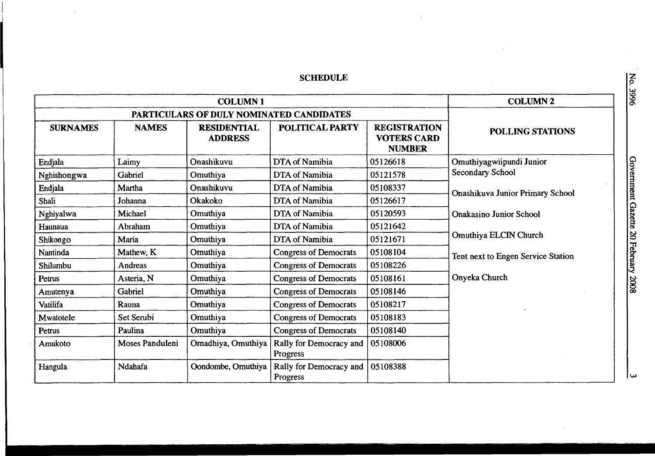## **SCHEDULE**

 $\bar{\mathcal{A}}$ 

|                 |                                          | <b>COLUMN 2</b>                      |                                     |                                                            |                                         |  |
|-----------------|------------------------------------------|--------------------------------------|-------------------------------------|------------------------------------------------------------|-----------------------------------------|--|
|                 | PARTICULARS OF DULY NOMINATED CANDIDATES |                                      |                                     |                                                            |                                         |  |
| <b>SURNAMES</b> | <b>NAMES</b>                             | <b>RESIDENTIAL</b><br><b>ADDRESS</b> | <b>POLITICAL PARTY</b>              | <b>REGISTRATION</b><br><b>VOTERS CARD</b><br><b>NUMBER</b> | <b>POLLING STATIONS</b>                 |  |
| Endjala         | Laimy                                    | Onashikuvu                           | DTA of Namibia                      | 05126618                                                   | Omuthiyagwiipundi Junior                |  |
| Nghishongwa     | Gabriel                                  | Omuthiya                             | DTA of Namibia                      | 05121578                                                   | Secondary School                        |  |
| Endjala         | Martha                                   | Onashikuvu                           | DTA of Namibia                      | 05108337                                                   | <b>Onashikuva Junior Primary School</b> |  |
| Shali           | Johanna                                  | Okakoko                              | DTA of Namibia                      | 05126617                                                   |                                         |  |
| Nghiyalwa       | Michael                                  | Omuthiya                             | DTA of Namibia                      | 05120593                                                   | <b>Onakasino Junior School</b>          |  |
| Haunaua         | Abraham                                  | Omuthiya                             | DTA of Namibia                      | 05121642                                                   |                                         |  |
| Shikongo        | Maria                                    | Omuthiya                             | DTA of Namibia                      | 05121671                                                   | Omuthiya ELCIN Church                   |  |
| Nantinda        | Mathew, K                                | Omuthiya                             | <b>Congress of Democrats</b>        | 05108104                                                   | Tent next to Engen Service Station      |  |
| Shilumbu        | Andreas                                  | Omuthiya                             | <b>Congress of Democrats</b>        | 05108226                                                   |                                         |  |
| Petrus          | Asteria, N                               | Omuthiya                             | <b>Congress of Democrats</b>        | 05108161                                                   | Onyeka Church                           |  |
| Amutenya        | Gabriel                                  | Omuthiya                             | <b>Congress of Democrats</b>        | 05108146                                                   |                                         |  |
| Vatilifa        | Rauna                                    | Omuthiya                             | <b>Congress of Democrats</b>        | 05108217                                                   |                                         |  |
| Mwatotele       | Set Serubi                               | Omuthiya                             | <b>Congress of Democrats</b>        | 05108183                                                   |                                         |  |
| Petrus          | Paulina                                  | Omuthiya                             | <b>Congress of Democrats</b>        | 05108140                                                   |                                         |  |
| Amukoto         | Moses Panduleni                          | Omadhiya, Omuthiya                   | Rally for Democracy and<br>Progress | 05108006                                                   |                                         |  |
| Hangula         | Ndahafa                                  | Oondombe, Omuthiya                   | Rally for Democracy and<br>Progress | 05108388                                                   |                                         |  |

0. 3996

*w*